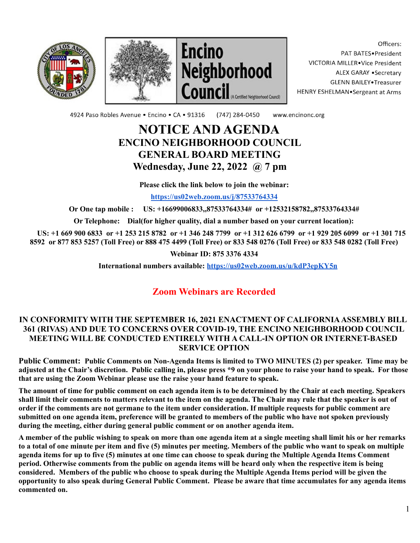





Officers: PAT BATES.President VICTORIA MILLER. Vice President ALEX GARAY . Secretary **GLENN BAILEY** Treasurer HENRY ESHELMAN.Sergeant at Arms

4924 Paso Robles Avenue · Encino · CA · 91316 (747) 284-0450 www.encinonc.org

# **NOTICE AND AGENDA ENCINO NEIGHBORHOOD COUNCIL GENERAL BOARD MEETING Wednesday, June 22, 2022 @ 7 pm**

**Please click the link below to join the webinar:**

**<https://us02web.zoom.us/j/87533764334>**

**Or One tap mobile : US: +16699006833,,87533764334# or +12532158782,,87533764334#**

**Or Telephone: Dial(for higher quality, dial a number based on your current location):**

US: +1 669 900 6833 or +1 253 215 8782 or +1 346 248 7799 or +1 312 626 6799 or +1 929 205 6099 or +1 301 715 8592 or 877 853 5257 (Toll Free) or 888 475 4499 (Toll Free) or 833 548 0276 (Toll Free) or 833 548 0282 (Toll Free)

#### **Webinar ID: 875 3376 4334**

**International numbers available: <https://us02web.zoom.us/u/kdP3epKY5n>**

## **Zoom Webinars are Recorded**

#### **IN CONFORMITY WITH THE SEPTEMBER 16, 2021 ENACTMENT OF CALIFORNIAASSEMBLY BILL 361 (RIVAS) AND DUE TO CONCERNS OVER COVID-19, THE ENCINO NEIGHBORHOOD COUNCIL MEETING WILL BE CONDUCTED ENTIRELY WITH A CALL-IN OPTION OR INTERNET-BASED SERVICE OPTION**

Public Comment: Public Comments on Non-Agenda Items is limited to TWO MINUTES (2) per speaker. Time may be adjusted at the Chair's discretion. Public calling in, please press \*9 on your phone to raise your hand to speak. For those **that are using the Zoom Webinar please use the raise your hand feature to speak.**

The amount of time for public comment on each agenda item is to be determined by the Chair at each meeting. Speakers shall limit their comments to matters relevant to the item on the agenda. The Chair may rule that the speaker is out of order if the comments are not germane to the item under consideration. If multiple requests for public comment are submitted on one agenda item, preference will be granted to members of the public who have not spoken previously **during the meeting, either during general public comment or on another agenda item.**

A member of the public wishing to speak on more than one agenda item at a single meeting shall limit his or her remarks to a total of one minute per item and five (5) minutes per meeting. Members of the public who want to speak on multiple agenda items for up to five (5) minutes at one time can choose to speak during the Multiple Agenda Items Comment period. Otherwise comments from the public on agenda items will be heard only when the respective item is being considered. Members of the public who choose to speak during the Multiple Agenda Items period will be given the opportunity to also speak during General Public Comment. Please be aware that time accumulates for any agenda items **commented on.**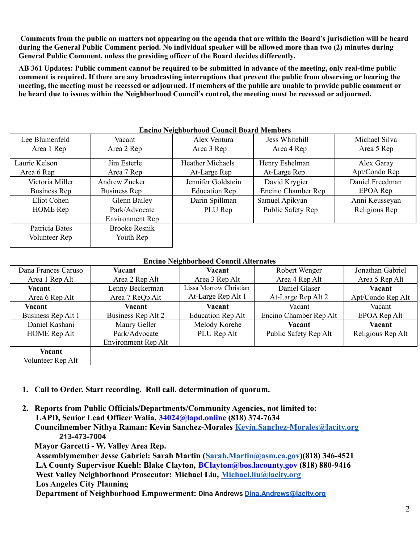Comments from the public on matters not appearing on the agenda that are within the Board's jurisdiction will be heard during the General Public Comment period. No individual speaker will be allowed more than two (2) minutes during **General Public Comment, unless the presiding officer of the Board decides differently.**

AB 361 Updates: Public comment cannot be required to be submitted in advance of the meeting, only real-time public comment is required. If there are any broadcasting interruptions that prevent the public from observing or hearing the meeting, the meeting must be recessed or adjourned. If members of the public are unable to provide public comment or be heard due to issues within the Neighborhood Council's control, the meeting must be recessed or adjourned.

| Encino reignooi nood Council Doal d'Iviennel s |                      |                         |                    |                 |  |  |  |
|------------------------------------------------|----------------------|-------------------------|--------------------|-----------------|--|--|--|
| Lee Blumenfeld                                 | Vacant               | Alex Ventura            | Jess Whitehill     | Michael Silva   |  |  |  |
| Area 1 Rep                                     | Area 2 Rep           | Area 3 Rep              | Area 4 Rep         | Area 5 Rep      |  |  |  |
| Laurie Kelson                                  | Jim Esterle          | <b>Heather Michaels</b> | Henry Eshelman     | Alex Garay      |  |  |  |
| Area 6 Rep                                     | Area 7 Rep           | At-Large Rep            | At-Large Rep       | Apt/Condo Rep   |  |  |  |
| Victoria Miller                                | <b>Andrew Zucker</b> | Jennifer Goldstein      | David Krygier      | Daniel Freedman |  |  |  |
| Business Rep                                   | Business Rep         | <b>Education Rep</b>    | Encino Chamber Rep | EPOA Rep        |  |  |  |
| Eliot Cohen                                    | Glenn Bailey         | Darin Spillman          | Samuel Apikyan     | Anni Keusseyan  |  |  |  |
| <b>HOME</b> Rep                                | Park/Advocate        | PLU Rep                 | Public Safety Rep  | Religious Rep   |  |  |  |
|                                                | Environment Rep      |                         |                    |                 |  |  |  |
| Patricia Bates                                 | <b>Brooke Resnik</b> |                         |                    |                 |  |  |  |
| Volunteer Rep                                  | Youth Rep            |                         |                    |                 |  |  |  |
|                                                |                      |                         |                    |                 |  |  |  |

#### **Encino Neighborhood Council Board Members**

**Encino Neighborhood Council Alternates**

| Dana Frances Caruso | Vacant              | Vacant                   | Robert Wenger          | Jonathan Gabriel  |
|---------------------|---------------------|--------------------------|------------------------|-------------------|
| Area 1 Rep Alt      | Area 2 Rep Alt      | Area 3 Rep Alt           | Area 4 Rep Alt         | Area 5 Rep Alt    |
| Vacant              | Lenny Beckerman     | Lissa Morrow Christian   | Daniel Glaser          | Vacant            |
| Area 6 Rep Alt      | Area 7 ReQp Alt     | At-Large Rep Alt 1       | At-Large Rep Alt 2     | Apt/Condo Rep Alt |
| Vacant              | Vacant              | Vacant                   | Vacant                 | Vacant            |
| Business Rep Alt 1  | Business Rep Alt 2  | <b>Education Rep Alt</b> | Encino Chamber Rep Alt | EPOA Rep Alt      |
| Daniel Kashani      | Maury Geller        | Melody Korehe            | Vacant                 | Vacant            |
| <b>HOME</b> Rep Alt | Park/Advocate       | PLU Rep Alt              | Public Safety Rep Alt  | Religious Rep Alt |
|                     | Environment Rep Alt |                          |                        |                   |
| Vacant              |                     |                          |                        |                   |
| Volunteer Rep Alt   |                     |                          |                        |                   |

- **1. Call to Order. Start recording. Roll call. determination of quorum.**
- **2. Reports from Public Officials/Departments/Community Agencies, not limited to: LAPD, Senior Lead Officer Walia, 34024@lapd.online (818) 374-7634 Councilmember Nithya Raman: Kevin Sanchez-Morales [Kevin.Sanchez-Morales@lacity.org](mailto:Kevin.Sanchez-Morales@lacity.org) 213-473-7004 Mayor Garcetti - W. Valley Area Rep.**

**Assemblymember Jesse Gabriel: Sarah Martin ([Sarah.Martin@asm.ca.gov](mailto:Sarah.Martin@asm.ca.gov))(818) 346-4521 LA County Supervisor Kuehl: Blake Clayton, BClayton@bos.lacounty.gov (818) 880-9416 West Valley Neighborhood Prosecutor: Michael Liu, [Michael.liu@lacity.org](mailto:Michael.liu@lacity.org) Los Angeles City Planning Department of Neighborhood Empowerment: Dina Andrews [Dina.Andrews@lacity.org](mailto:Dina.Andrews@lacity.org)**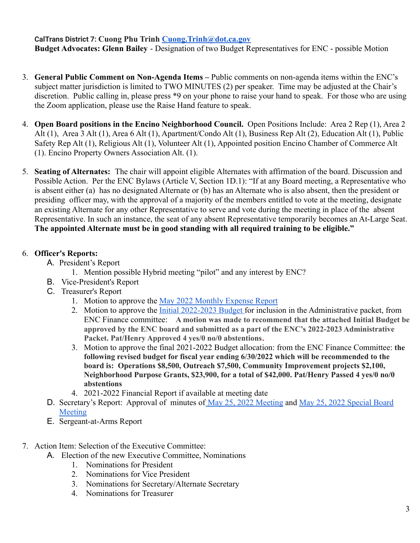**CalTrans District 7: Cuong Phu Trinh [Cuong.Trinh@dot.ca.gov](mailto:Cuong.Trinh@dot.ca.gov) Budget Advocates: Glenn Bailey** - Designation of two Budget Representatives for ENC - possible Motion

- 3. **General Public Comment on Non-Agenda Items –** Public comments on non-agenda items within the ENC's subject matter jurisdiction is limited to TWO MINUTES (2) per speaker. Time may be adjusted at the Chair's discretion. Public calling in, please press \*9 on your phone to raise your hand to speak. For those who are using the Zoom application, please use the Raise Hand feature to speak.
- 4. **Open Board positions in the Encino Neighborhood Council.** Open Positions Include: Area 2 Rep (1), Area 2 Alt (1), Area 3 Alt (1), Area 6 Alt (1), Apartment/Condo Alt (1), Business Rep Alt (2), Education Alt (1), Public Safety Rep Alt (1), Religious Alt (1), Volunteer Alt (1), Appointed position Encino Chamber of Commerce Alt (1). Encino Property Owners Association Alt. (1).
- 5. **Seating of Alternates:** The chair will appoint eligible Alternates with affirmation of the board. Discussion and Possible Action. Per the ENC Bylaws (Article V, Section 1D.1): "If at any Board meeting, a Representative who is absent either (a) has no designated Alternate or (b) has an Alternate who is also absent, then the president or presiding officer may, with the approval of a majority of the members entitled to vote at the meeting, designate an existing Alternate for any other Representative to serve and vote during the meeting in place of the absent Representative. In such an instance, the seat of any absent Representative temporarily becomes an At-Large Seat. **The appointed Alternate must be in good standing with all required training to be eligible."**

## 6. **Officer's Reports:**

- A. President's Report
	- 1. Mention possible Hybrid meeting "pilot" and any interest by ENC?
- B. Vice-President's Report
- C. Treasurer's Report
	- 1. Motion to approve the [May 2022 Monthly Expense Report](https://www.encinonc.org/page/viewDoc/385/financial)
	- 2. Motion to approve the [Initial 2022-2023 Budget](https://www.encinonc.org/assets/documents/8/meeting62ae5c9b5f6fe.pdf) for inclusion in the Administrative packet, from ENC Finance committee: **A motion was made to recommend that the attached Initial Budget be approved by the ENC board and submitted as a part of the ENC's 2022-2023 Administrative Packet. Pat/Henry Approved 4 yes/0 no/0 abstentions.**
	- 3. Motion to approve the final 2021-2022 Budget allocation: from the ENC Finance Committee: **the following revised budget for fiscal year ending 6/30/2022 which will be recommended to the board is: Operations \$8,500, Outreach \$7,500, Community Improvement projects \$2,100, Neighborhood Purpose Grants, \$23,900, for a total of \$42,000. Pat/Henry Passed 4 yes/0 no/0 abstentions**
	- 4. 2021-2022 Financial Report if available at meeting date
- D. Secretary's Report: Approval of minutes of <u>May 25, [2022 Meeting](https://www.encinonc.org/assets/documents/8/meeting629d78b9ab1b0.pdf)</u> and <u>[May 25, 2022 Special Board](https://www.encinonc.org/assets/documents/8/meeting629d78a147782.pdf)</u> [Meeting](https://www.encinonc.org/assets/documents/8/meeting629d78a147782.pdf)
- E. Sergeant-at-Arms Report
- 7. Action Item: Selection of the Executive Committee:
	- A. Election of the new Executive Committee, Nominations
		- 1. Nominations for President
		- 2. Nominations for Vice President
		- 3. Nominations for Secretary/Alternate Secretary
		- 4. Nominations for Treasurer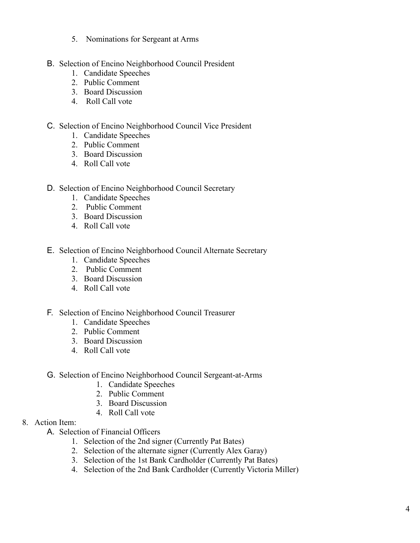- 5. Nominations for Sergeant at Arms
- B. Selection of Encino Neighborhood Council President
	- 1. Candidate Speeches
	- 2. Public Comment
	- 3. Board Discussion
	- 4. Roll Call vote
- C. Selection of Encino Neighborhood Council Vice President
	- 1. Candidate Speeches
	- 2. Public Comment
	- 3. Board Discussion
	- 4. Roll Call vote
- D. Selection of Encino Neighborhood Council Secretary
	- 1. Candidate Speeches
	- 2. Public Comment
	- 3. Board Discussion
	- 4. Roll Call vote
- E. Selection of Encino Neighborhood Council Alternate Secretary
	- 1. Candidate Speeches
	- 2. Public Comment
	- 3. Board Discussion
	- 4. Roll Call vote
- F. Selection of Encino Neighborhood Council Treasurer
	- 1. Candidate Speeches
	- 2. Public Comment
	- 3. Board Discussion
	- 4. Roll Call vote
- G. Selection of Encino Neighborhood Council Sergeant-at-Arms
	- 1. Candidate Speeches
	- 2. Public Comment
	- 3. Board Discussion
	- 4. Roll Call vote
- 8. Action Item:
	- A. Selection of Financial Officers
		- 1. Selection of the 2nd signer (Currently Pat Bates)
		- 2. Selection of the alternate signer (Currently Alex Garay)
		- 3. Selection of the 1st Bank Cardholder (Currently Pat Bates)
		- 4. Selection of the 2nd Bank Cardholder (Currently Victoria Miller)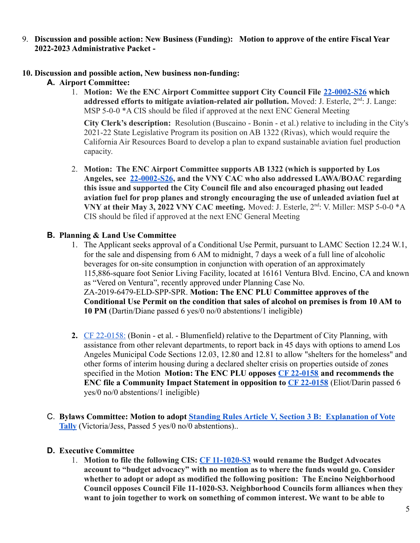9. **Discussion and possible action: New Business (Funding): Motion to approve of the entire Fiscal Year 2022-2023 Administrative Packet -**

## **10. Discussion and possible action, New business non-funding:**

## **A. Airport Committee:**

1. **Motion: We the ENC Airport Committee support City Council File [22-0002-S26](https://cityclerk.lacity.org/lacityclerkconnect/index.cfm?fa=ccfi.viewrecord&cfnumber=22-0002-S26) which** addressed efforts to mitigate aviation-related air pollution. Moved: J. Esterle, 2<sup>nd</sup>: J. Lange: MSP 5-0-0 \*A CIS should be filed if approved at the next ENC General Meeting

**City Clerk's description:** Resolution (Buscaino - Bonin - et al.) relative to including in the City's 2021-22 State Legislative Program its position on AB 1322 (Rivas), which would require the California Air Resources Board to develop a plan to expand sustainable aviation fuel production capacity.

2. **Motion: The ENC Airport Committee supports AB 1322 (which is supported by Los Angeles, see [22-0002-S26](https://cityclerk.lacity.org/lacityclerkconnect/index.cfm?fa=ccfi.viewrecord&cfnumber=22-0002-S26), and the VNY CAC who also addressed LAWA/BOAC regarding this issue and supported the City Council file and also encouraged phasing out leaded aviation fuel for prop planes and strongly encouraging the use of unleaded aviation fuel at** VNY at their May 3, 2022 VNY CAC meeting. Moved: J. Esterle, 2<sup>nd</sup>: V. Miller: MSP 5-0-0  $^*$ A CIS should be filed if approved at the next ENC General Meeting

## **B. Planning & Land Use Committee**

- 1. The Applicant seeks approval of a Conditional Use Permit, pursuant to LAMC Section 12.24 W.1, for the sale and dispensing from 6 AM to midnight, 7 days a week of a full line of alcoholic beverages for on-site consumption in conjunction with operation of an approximately 115,886-square foot Senior Living Facility, located at 16161 Ventura Blvd. Encino, CA and known as "Vered on Ventura", recently approved under Planning Case No. ZA-2019-6479-ELD-SPP-SPR. **Motion: The ENC PLU Committee approves of the Conditional Use Permit on the condition that sales of alcohol on premises is from 10 AM to 10 PM** (Dartin/Diane passed 6 yes/0 no/0 abstentions/1 ineligible)
- **2.** [CF 22-0158:](https://cityclerk.lacity.org/lacityclerkconnect/index.cfm?fa=ccfi.viewrecord&cfnumber=22-0158) (Bonin et al. Blumenfield) relative to the Department of City Planning, with assistance from other relevant departments, to report back in 45 days with options to amend Los Angeles Municipal Code Sections 12.03, 12.80 and 12.81 to allow "shelters for the homeless" and other forms of interim housing during a declared shelter crisis on properties outside of zones specified in the Motion **Motion: The ENC PLU opposes [CF 22-0158](https://cityclerk.lacity.org/lacityclerkconnect/index.cfm?fa=ccfi.viewrecord&cfnumber=22-0158) and recommends the ENC file a Community Impact Statement in opposition to [CF 22-0158](https://cityclerk.lacity.org/lacityclerkconnect/index.cfm?fa=ccfi.viewrecord&cfnumber=22-0158)** (Eliot/Darin passed 6 yes/0 no/0 abstentions/1 ineligible)
- C. **Bylaws Committee: Motion to adopt Standing Rules Article [V, Section 3 B: Explanation of Vote](https://www.encinonc.org/assets/documents/8/meeting62aa6df716dc1.pdf) [Tally](https://www.encinonc.org/assets/documents/8/meeting62aa6df716dc1.pdf)** (Victoria/Jess, Passed 5 yes/0 no/0 abstentions)..

## **D. Executive Committee**

1. **Motion to file the following CIS: [CF 11-1020-S3](https://cityclerk.lacity.org/lacityclerkconnect/index.cfm?fa=ccfi.viewrecord&cfnumber=11-1020-S3) would rename the Budget Advocates account to "budget advocacy" with no mention as to where the funds would go. Consider whether to adopt or adopt as modified the following position: The Encino Neighborhood Council opposes Council File 11-1020-S3. Neighborhood Councils form alliances when they want to join together to work on something of common interest. We want to be able to**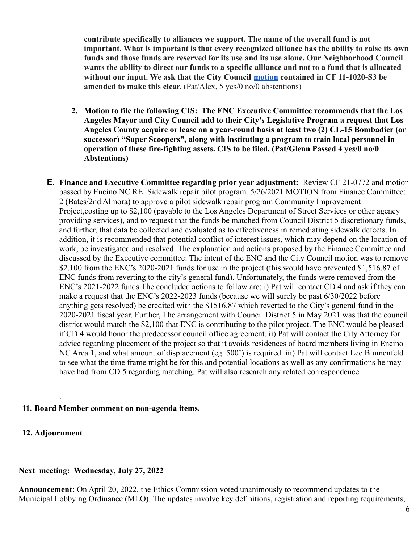**contribute specifically to alliances we support. The name of the overall fund is not important. What is important is that every recognized alliance has the ability to raise its own funds and those funds are reserved for its use and its use alone. Our Neighborhood Council wants the ability to direct our funds to a specific alliance and not to a fund that is allocated without our input. We ask that the City Council [motion](https://clkrep.lacity.org/onlinedocs/2011/11-1020-s3_mot_4-27-22.pdf) contained in CF 11-1020-S3 be amended to make this clear.** (Pat/Alex, 5 yes/0 no/0 abstentions)

- **2. Motion to file the following CIS: The ENC Executive Committee recommends that the Los Angeles Mayor and City Council add to their City's Legislative Program a request that Los Angeles County acquire or lease on a year-round basis at least two (2) CL-15 Bombadier (or successor) "Super Scoopers", along with instituting a program to train local personnel in operation of these fire-fighting assets. CIS to be filed. (Pat/Glenn Passed 4 yes/0 no/0 Abstentions)**
- **E. Finance and Executive Committee regarding prior year adjustment:** Review CF 21-0772 and motion passed by Encino NC RE: Sidewalk repair pilot program. 5/26/2021 MOTION from Finance Committee: 2 (Bates/2nd Almora) to approve a pilot sidewalk repair program Community Improvement Project,costing up to \$2,100 (payable to the Los Angeles Department of Street Services or other agency providing services), and to request that the funds be matched from Council District 5 discretionary funds, and further, that data be collected and evaluated as to effectiveness in remediating sidewalk defects. In addition, it is recommended that potential conflict of interest issues, which may depend on the location of work, be investigated and resolved. The explanation and actions proposed by the Finance Committee and discussed by the Executive committee: The intent of the ENC and the City Council motion was to remove \$2,100 from the ENC's 2020-2021 funds for use in the project (this would have prevented \$1,516.87 of ENC funds from reverting to the city's general fund). Unfortunately, the funds were removed from the ENC's 2021-2022 funds.The concluded actions to follow are: i) Pat will contact CD 4 and ask if they can make a request that the ENC's 2022-2023 funds (because we will surely be past 6/30/2022 before anything gets resolved) be credited with the \$1516.87 which reverted to the City's general fund in the 2020-2021 fiscal year. Further, The arrangement with Council District 5 in May 2021 was that the council district would match the \$2,100 that ENC is contributing to the pilot project. The ENC would be pleased if CD 4 would honor the predecessor council office agreement. ii) Pat will contact the City Attorney for advice regarding placement of the project so that it avoids residences of board members living in Encino NC Area 1, and what amount of displacement (eg. 500') is required. iii) Pat will contact Lee Blumenfeld to see what the time frame might be for this and potential locations as well as any confirmations he may have had from CD 5 regarding matching. Pat will also research any related correspondence.

#### **11. Board Member comment on non-agenda items.**

#### **12. Adjournment**

.

#### **Next meeting: Wednesday, July 27, 2022**

**Announcement:** On April 20, 2022, the Ethics Commission voted unanimously to recommend updates to the Municipal Lobbying Ordinance (MLO). The updates involve key definitions, registration and reporting requirements,